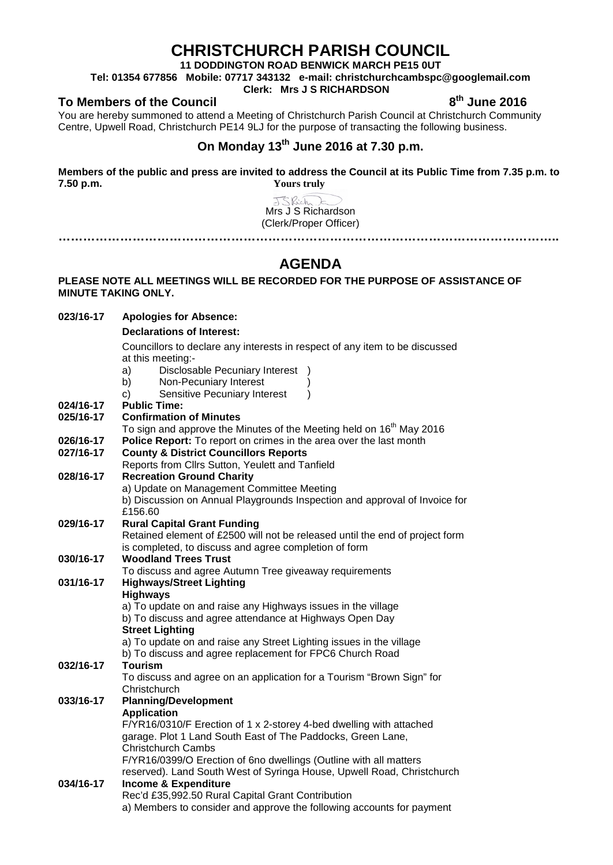# **CHRISTCHURCH PARISH COUNCIL**

**11 DODDINGTON ROAD BENWICK MARCH PE15 0UT**

**Tel: 01354 677856 Mobile: 07717 343132 e-mail: christchurchcambspc@googlemail.com**

### **Clerk: Mrs J S RICHARDSON**

To Members of the Council **8th** June 2016

You are hereby summoned to attend a Meeting of Christchurch Parish Council at Christchurch Community Centre, Upwell Road, Christchurch PE14 9LJ for the purpose of transacting the following business.

## **On Monday 13th June 2016 at 7.30 p.m.**

**Members of the public and press are invited to address the Council at its Public Time from 7.35 p.m. to 7.50 p.m. Yours truly**

JS Rich E Mrs J S Richardson (Clerk/Proper Officer) **…………………………………………………………………………………………………………..**

# **AGENDA**

### **PLEASE NOTE ALL MEETINGS WILL BE RECORDED FOR THE PURPOSE OF ASSISTANCE OF MINUTE TAKING ONLY.**

| 023/16-17 | <b>Apologies for Absence:</b>                                                                                           |  |  |
|-----------|-------------------------------------------------------------------------------------------------------------------------|--|--|
|           | <b>Declarations of Interest:</b>                                                                                        |  |  |
|           | Councillors to declare any interests in respect of any item to be discussed                                             |  |  |
|           | at this meeting:-                                                                                                       |  |  |
|           | Disclosable Pecuniary Interest<br>a)                                                                                    |  |  |
|           | Non-Pecuniary Interest<br>b)<br>$\lambda$<br>$\lambda$                                                                  |  |  |
| 024/16-17 | Sensitive Pecuniary Interest<br>c)<br><b>Public Time:</b>                                                               |  |  |
| 025/16-17 | <b>Confirmation of Minutes</b>                                                                                          |  |  |
|           | To sign and approve the Minutes of the Meeting held on 16 <sup>th</sup> May 2016                                        |  |  |
| 026/16-17 | Police Report: To report on crimes in the area over the last month                                                      |  |  |
| 027/16-17 | <b>County &amp; District Councillors Reports</b>                                                                        |  |  |
|           | Reports from Cllrs Sutton, Yeulett and Tanfield                                                                         |  |  |
| 028/16-17 | <b>Recreation Ground Charity</b>                                                                                        |  |  |
|           | a) Update on Management Committee Meeting<br>b) Discussion on Annual Playgrounds Inspection and approval of Invoice for |  |  |
|           | £156.60                                                                                                                 |  |  |
| 029/16-17 | <b>Rural Capital Grant Funding</b>                                                                                      |  |  |
|           | Retained element of £2500 will not be released until the end of project form                                            |  |  |
|           | is completed, to discuss and agree completion of form                                                                   |  |  |
| 030/16-17 | <b>Woodland Trees Trust</b>                                                                                             |  |  |
|           | To discuss and agree Autumn Tree giveaway requirements                                                                  |  |  |
| 031/16-17 | <b>Highways/Street Lighting</b>                                                                                         |  |  |
|           | <b>Highways</b><br>a) To update on and raise any Highways issues in the village                                         |  |  |
|           | b) To discuss and agree attendance at Highways Open Day<br><b>Street Lighting</b>                                       |  |  |
|           |                                                                                                                         |  |  |
|           | a) To update on and raise any Street Lighting issues in the village                                                     |  |  |
|           | b) To discuss and agree replacement for FPC6 Church Road                                                                |  |  |
| 032/16-17 | <b>Tourism</b>                                                                                                          |  |  |
|           | To discuss and agree on an application for a Tourism "Brown Sign" for<br>Christchurch                                   |  |  |
| 033/16-17 | <b>Planning/Development</b>                                                                                             |  |  |
|           | <b>Application</b>                                                                                                      |  |  |
|           | F/YR16/0310/F Erection of 1 x 2-storey 4-bed dwelling with attached                                                     |  |  |
|           | garage. Plot 1 Land South East of The Paddocks, Green Lane,                                                             |  |  |
|           | <b>Christchurch Cambs</b>                                                                                               |  |  |
|           | F/YR16/0399/O Erection of 6no dwellings (Outline with all matters                                                       |  |  |
| 034/16-17 | reserved). Land South West of Syringa House, Upwell Road, Christchurch<br><b>Income &amp; Expenditure</b>               |  |  |
|           | Rec'd £35,992.50 Rural Capital Grant Contribution                                                                       |  |  |
|           | a) Members to consider and approve the following accounts for payment                                                   |  |  |
|           |                                                                                                                         |  |  |